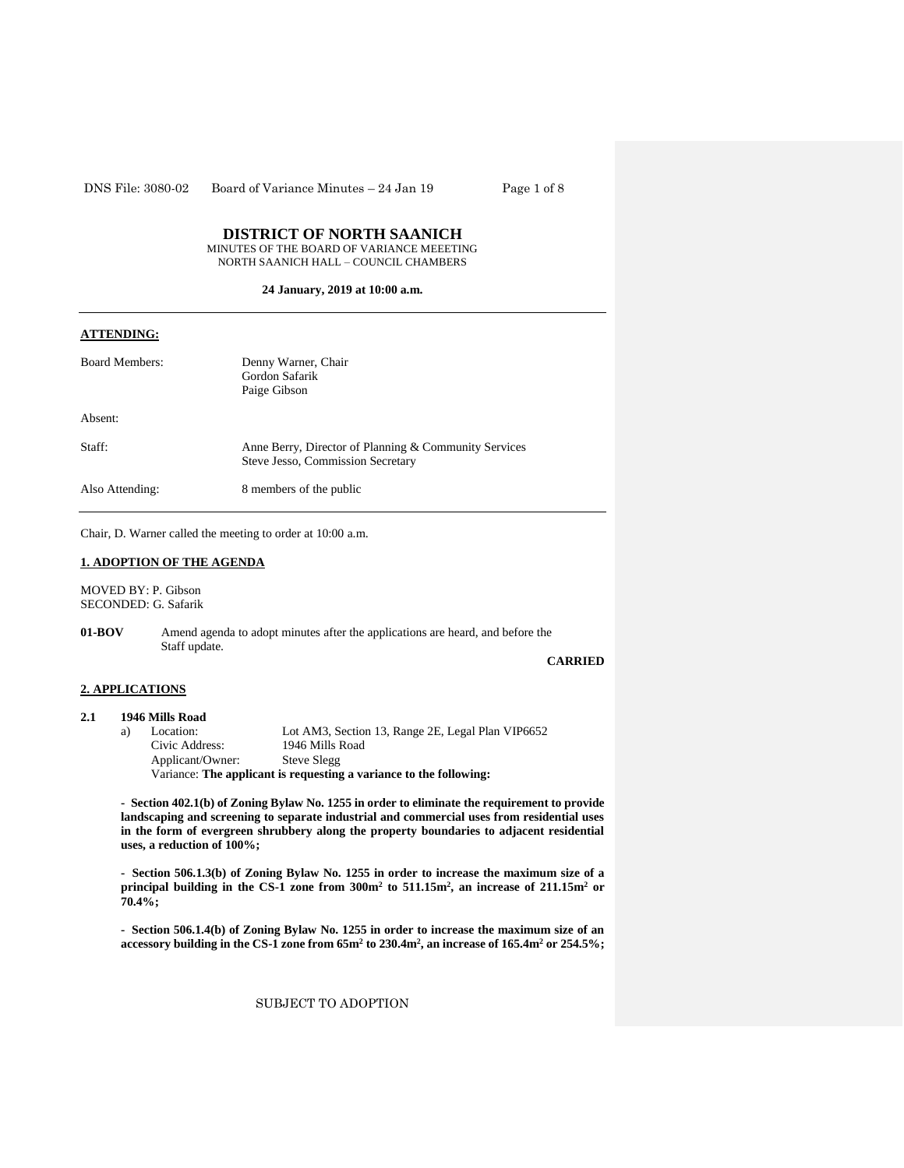DNS File: 3080-02 Board of Variance Minutes – 24 Jan 19 Page 1 of 8

# **DISTRICT OF NORTH SAANICH**

MINUTES OF THE BOARD OF VARIANCE MEEETING NORTH SAANICH HALL – COUNCIL CHAMBERS

# **24 January, 2019 at 10:00 a.m.**

# **ATTENDING:**

| <b>Board Members:</b> | Denny Warner, Chair<br>Gordon Safarik<br>Paige Gibson                                      |
|-----------------------|--------------------------------------------------------------------------------------------|
| Absent:               |                                                                                            |
| Staff:                | Anne Berry, Director of Planning & Community Services<br>Steve Jesso, Commission Secretary |
| Also Attending:       | 8 members of the public                                                                    |

Chair, D. Warner called the meeting to order at 10:00 a.m.

# **1. ADOPTION OF THE AGENDA**

MOVED BY: P. Gibson SECONDED: G. Safarik

**01-BOV** Amend agenda to adopt minutes after the applications are heard, and before the Staff update.

**CARRIED**

# **2. APPLICATIONS**

### **2.1 1946 Mills Road**

| a) | Location:        | Lot AM3, Section 13, Range 2E, Legal Plan VIP6652                  |
|----|------------------|--------------------------------------------------------------------|
|    | Civic Address:   | 1946 Mills Road                                                    |
|    | Applicant/Owner: | Steve Slegg                                                        |
|    |                  | Variance: The applicant is requesting a variance to the following: |

**- Section 402.1(b) of Zoning Bylaw No. 1255 in order to eliminate the requirement to provide landscaping and screening to separate industrial and commercial uses from residential uses in the form of evergreen shrubbery along the property boundaries to adjacent residential uses, a reduction of 100%;**

**- Section 506.1.3(b) of Zoning Bylaw No. 1255 in order to increase the maximum size of a principal building in the CS-1 zone from 300m<sup>2</sup> to 511.15m<sup>2</sup> , an increase of 211.15m<sup>2</sup> or 70.4%;**

**- Section 506.1.4(b) of Zoning Bylaw No. 1255 in order to increase the maximum size of an accessory building in the CS-1 zone from 65m<sup>2</sup> to 230.4m<sup>2</sup> , an increase of 165.4m<sup>2</sup> or 254.5%;**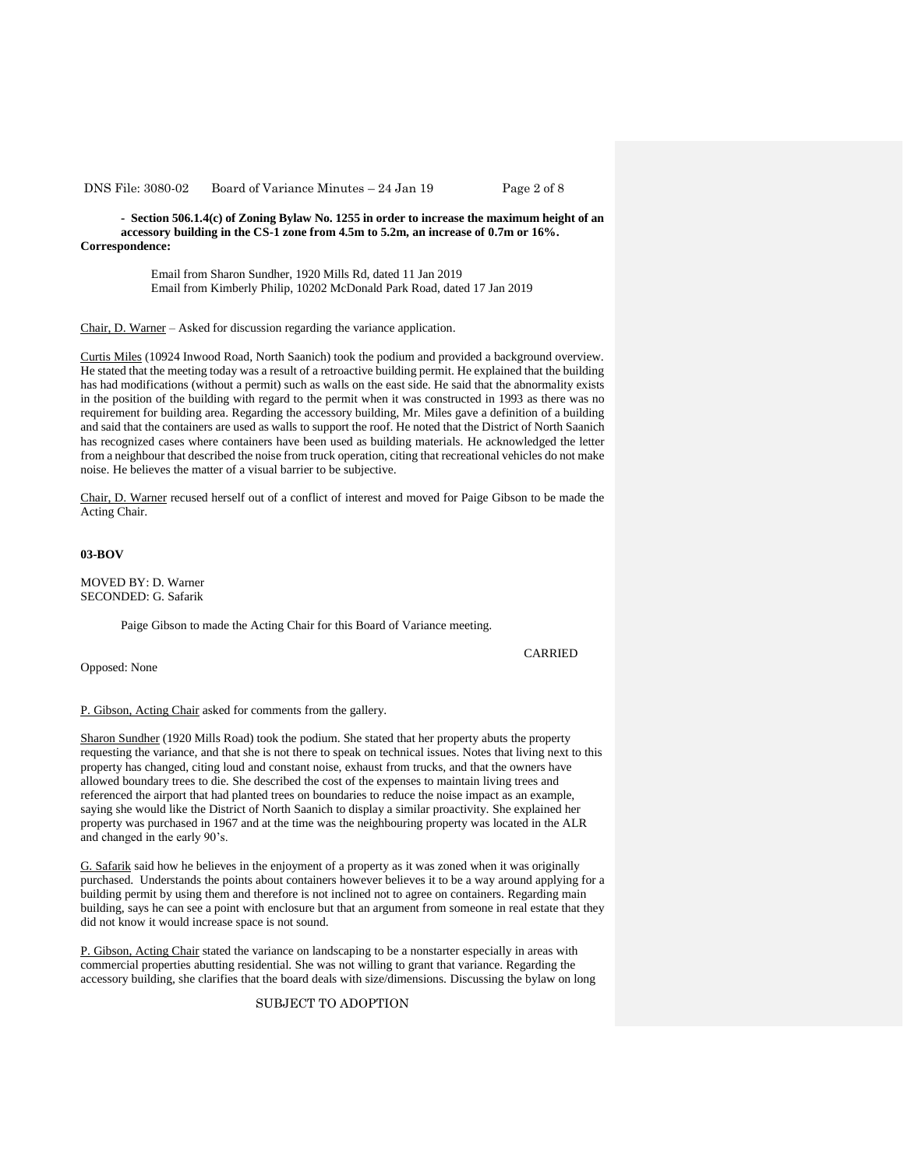DNS File: 3080-02 Board of Variance Minutes – 24 Jan 19 Page 2 of 8

**- Section 506.1.4(c) of Zoning Bylaw No. 1255 in order to increase the maximum height of an accessory building in the CS-1 zone from 4.5m to 5.2m, an increase of 0.7m or 16%. Correspondence:** 

> Email from Sharon Sundher, 1920 Mills Rd, dated 11 Jan 2019 Email from Kimberly Philip, 10202 McDonald Park Road, dated 17 Jan 2019

Chair, D. Warner – Asked for discussion regarding the variance application.

Curtis Miles (10924 Inwood Road, North Saanich) took the podium and provided a background overview. He stated that the meeting today was a result of a retroactive building permit. He explained that the building has had modifications (without a permit) such as walls on the east side. He said that the abnormality exists in the position of the building with regard to the permit when it was constructed in 1993 as there was no requirement for building area. Regarding the accessory building, Mr. Miles gave a definition of a building and said that the containers are used as walls to support the roof. He noted that the District of North Saanich has recognized cases where containers have been used as building materials. He acknowledged the letter from a neighbour that described the noise from truck operation, citing that recreational vehicles do not make noise. He believes the matter of a visual barrier to be subjective.

Chair, D. Warner recused herself out of a conflict of interest and moved for Paige Gibson to be made the Acting Chair.

# **03-BOV**

MOVED BY: D. Warner SECONDED: G. Safarik

Paige Gibson to made the Acting Chair for this Board of Variance meeting.

Opposed: None

CARRIED

P. Gibson, Acting Chair asked for comments from the gallery.

Sharon Sundher (1920 Mills Road) took the podium. She stated that her property abuts the property requesting the variance, and that she is not there to speak on technical issues. Notes that living next to this property has changed, citing loud and constant noise, exhaust from trucks, and that the owners have allowed boundary trees to die. She described the cost of the expenses to maintain living trees and referenced the airport that had planted trees on boundaries to reduce the noise impact as an example, saying she would like the District of North Saanich to display a similar proactivity. She explained her property was purchased in 1967 and at the time was the neighbouring property was located in the ALR and changed in the early 90's.

G. Safarik said how he believes in the enjoyment of a property as it was zoned when it was originally purchased. Understands the points about containers however believes it to be a way around applying for a building permit by using them and therefore is not inclined not to agree on containers. Regarding main building, says he can see a point with enclosure but that an argument from someone in real estate that they did not know it would increase space is not sound.

P. Gibson, Acting Chair stated the variance on landscaping to be a nonstarter especially in areas with commercial properties abutting residential. She was not willing to grant that variance. Regarding the accessory building, she clarifies that the board deals with size/dimensions. Discussing the bylaw on long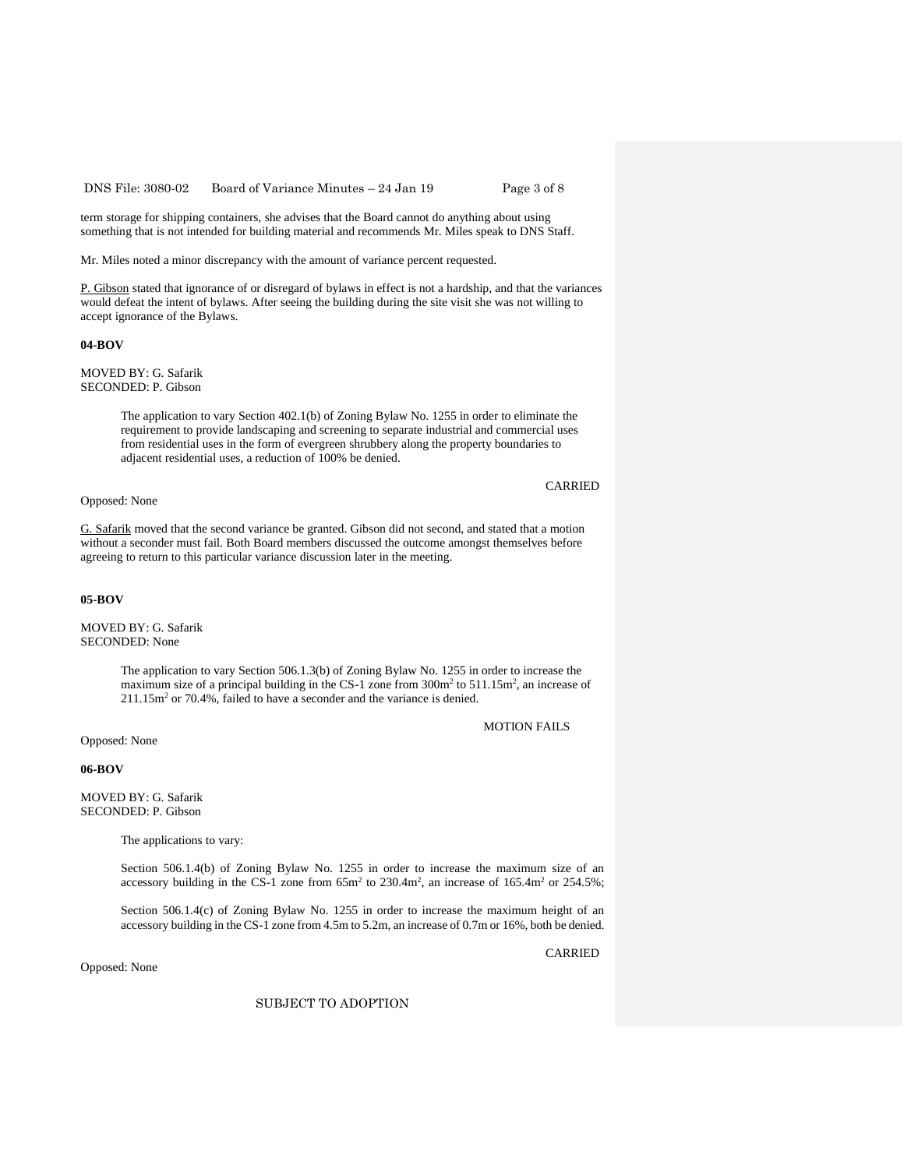DNS File: 3080-02 Board of Variance Minutes – 24 Jan 19 Page 3 of 8

term storage for shipping containers, she advises that the Board cannot do anything about using something that is not intended for building material and recommends Mr. Miles speak to DNS Staff.

Mr. Miles noted a minor discrepancy with the amount of variance percent requested.

P. Gibson stated that ignorance of or disregard of bylaws in effect is not a hardship, and that the variances would defeat the intent of bylaws. After seeing the building during the site visit she was not willing to accept ignorance of the Bylaws.

#### **04-BOV**

MOVED BY: G. Safarik SECONDED: P. Gibson

> The application to vary Section 402.1(b) of Zoning Bylaw No. 1255 in order to eliminate the requirement to provide landscaping and screening to separate industrial and commercial uses from residential uses in the form of evergreen shrubbery along the property boundaries to adjacent residential uses, a reduction of 100% be denied.

Opposed: None

G. Safarik moved that the second variance be granted. Gibson did not second, and stated that a motion without a seconder must fail. Both Board members discussed the outcome amongst themselves before agreeing to return to this particular variance discussion later in the meeting.

### **05-BOV**

MOVED BY: G. Safarik SECONDED: None

> The application to vary Section 506.1.3(b) of Zoning Bylaw No. 1255 in order to increase the maximum size of a principal building in the CS-1 zone from  $300m^2$  to  $511.15m^2$ , an increase of 211.15m<sup>2</sup> or 70.4%, failed to have a seconder and the variance is denied.

> > MOTION FAILS

Opposed: None

### **06-BOV**

MOVED BY: G. Safarik SECONDED: P. Gibson

The applications to vary:

Section 506.1.4(b) of Zoning Bylaw No. 1255 in order to increase the maximum size of an accessory building in the CS-1 zone from  $65m^2$  to  $230.4m^2$ , an increase of  $165.4m^2$  or  $254.5\%$ ;

Section 506.1.4(c) of Zoning Bylaw No. 1255 in order to increase the maximum height of an accessory building in the CS-1 zone from 4.5m to 5.2m, an increase of 0.7m or 16%, both be denied.

Opposed: None

CARRIED

SUBJECT TO ADOPTION

### CARRIED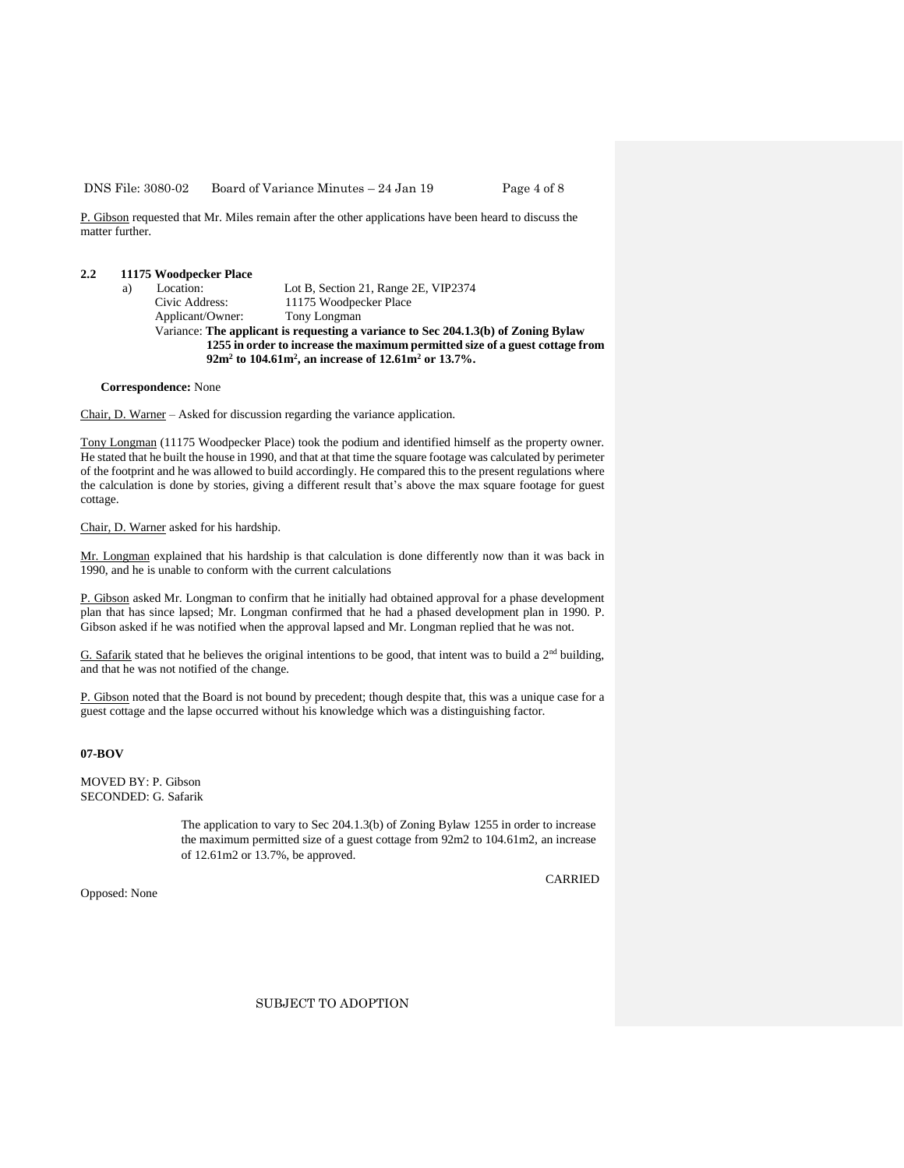DNS File: 3080-02 Board of Variance Minutes – 24 Jan 19 Page 4 of 8

P. Gibson requested that Mr. Miles remain after the other applications have been heard to discuss the matter further.

# **2.2 11175 Woodpecker Place**

| a)                                                                                 |  | Location:        | Lot B, Section 21, Range 2E, VIP2374 |  |
|------------------------------------------------------------------------------------|--|------------------|--------------------------------------|--|
|                                                                                    |  | Civic Address:   | 11175 Woodpecker Place               |  |
|                                                                                    |  | Applicant/Owner: | Tony Longman                         |  |
| Variance: The applicant is requesting a variance to Sec 204.1.3(b) of Zoning Bylaw |  |                  |                                      |  |
| 1255 in order to increase the maximum permitted size of a guest cottage from       |  |                  |                                      |  |
| $92m2$ to 104.61m <sup>2</sup> , an increase of 12.61m <sup>2</sup> or 13.7%.      |  |                  |                                      |  |
|                                                                                    |  |                  |                                      |  |

**Correspondence:** None

Chair, D. Warner – Asked for discussion regarding the variance application.

Tony Longman (11175 Woodpecker Place) took the podium and identified himself as the property owner. He stated that he built the house in 1990, and that at that time the square footage was calculated by perimeter of the footprint and he was allowed to build accordingly. He compared this to the present regulations where the calculation is done by stories, giving a different result that's above the max square footage for guest cottage.

Chair, D. Warner asked for his hardship.

Mr. Longman explained that his hardship is that calculation is done differently now than it was back in 1990, and he is unable to conform with the current calculations

P. Gibson asked Mr. Longman to confirm that he initially had obtained approval for a phase development plan that has since lapsed; Mr. Longman confirmed that he had a phased development plan in 1990. P. Gibson asked if he was notified when the approval lapsed and Mr. Longman replied that he was not.

G. Safarik stated that he believes the original intentions to be good, that intent was to build a 2<sup>nd</sup> building, and that he was not notified of the change.

P. Gibson noted that the Board is not bound by precedent; though despite that, this was a unique case for a guest cottage and the lapse occurred without his knowledge which was a distinguishing factor.

# **07-BOV**

MOVED BY: P. Gibson SECONDED: G. Safarik

> The application to vary to Sec 204.1.3(b) of Zoning Bylaw 1255 in order to increase the maximum permitted size of a guest cottage from 92m2 to 104.61m2, an increase of 12.61m2 or 13.7%, be approved.

> > CARRIED

Opposed: None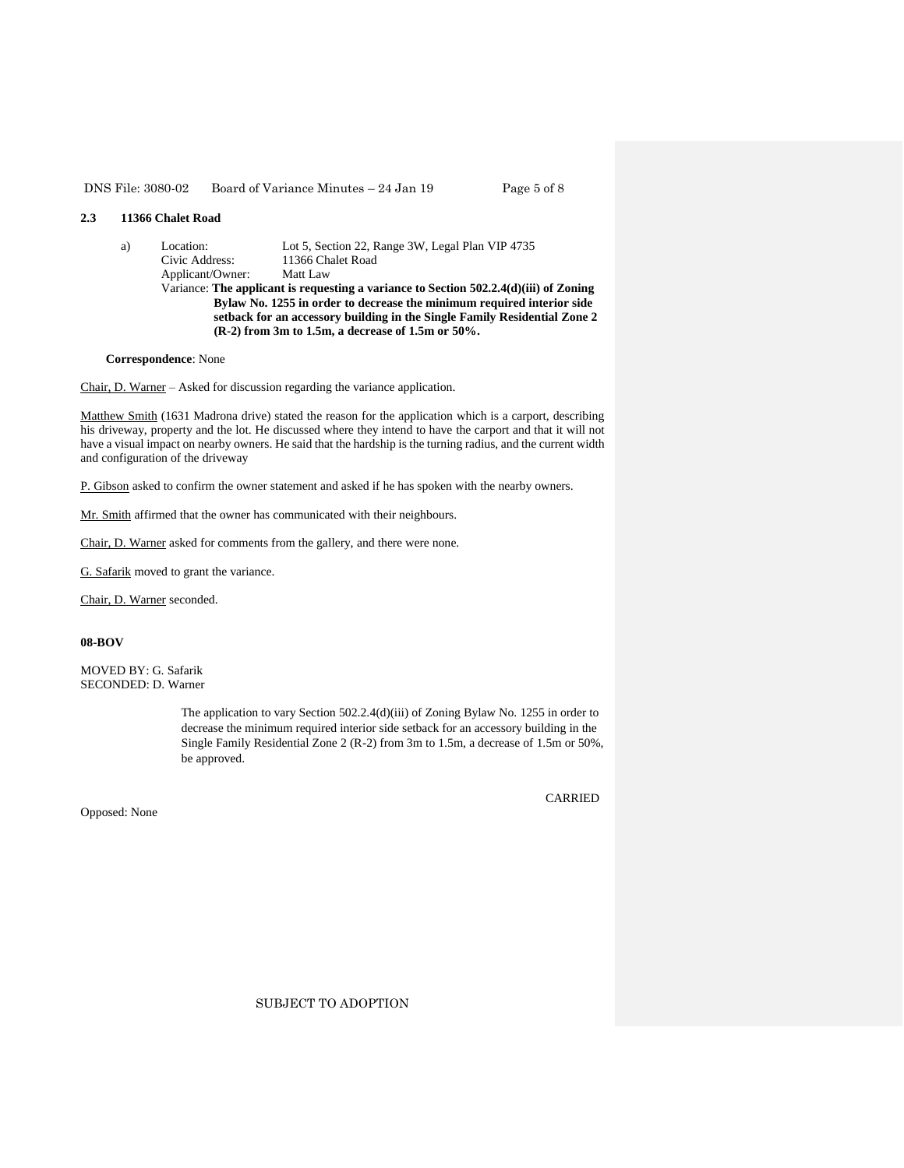#### DNS File: 3080-02 Board of Variance Minutes – 24 Jan 19 Page 5 of 8

# **2.3 11366 Chalet Road**

a) Location: Lot 5, Section 22, Range 3W, Legal Plan VIP 4735 Civic Address: 11366 Chalet Road<br>Applicant/Owner: Matt Law Applicant/Owner: Variance: **The applicant is requesting a variance to Section 502.2.4(d)(iii) of Zoning Bylaw No. 1255 in order to decrease the minimum required interior side setback for an accessory building in the Single Family Residential Zone 2 (R-2) from 3m to 1.5m, a decrease of 1.5m or 50%.**

#### **Correspondence**: None

Chair, D. Warner – Asked for discussion regarding the variance application.

Matthew Smith (1631 Madrona drive) stated the reason for the application which is a carport, describing his driveway, property and the lot. He discussed where they intend to have the carport and that it will not have a visual impact on nearby owners. He said that the hardship is the turning radius, and the current width and configuration of the driveway

P. Gibson asked to confirm the owner statement and asked if he has spoken with the nearby owners.

Mr. Smith affirmed that the owner has communicated with their neighbours.

Chair, D. Warner asked for comments from the gallery, and there were none.

G. Safarik moved to grant the variance.

Chair, D. Warner seconded.

# **08-BOV**

MOVED BY: G. Safarik SECONDED: D. Warner

> The application to vary Section 502.2.4(d)(iii) of Zoning Bylaw No. 1255 in order to decrease the minimum required interior side setback for an accessory building in the Single Family Residential Zone 2 (R-2) from 3m to 1.5m, a decrease of 1.5m or 50%, be approved.

Opposed: None

CARRIED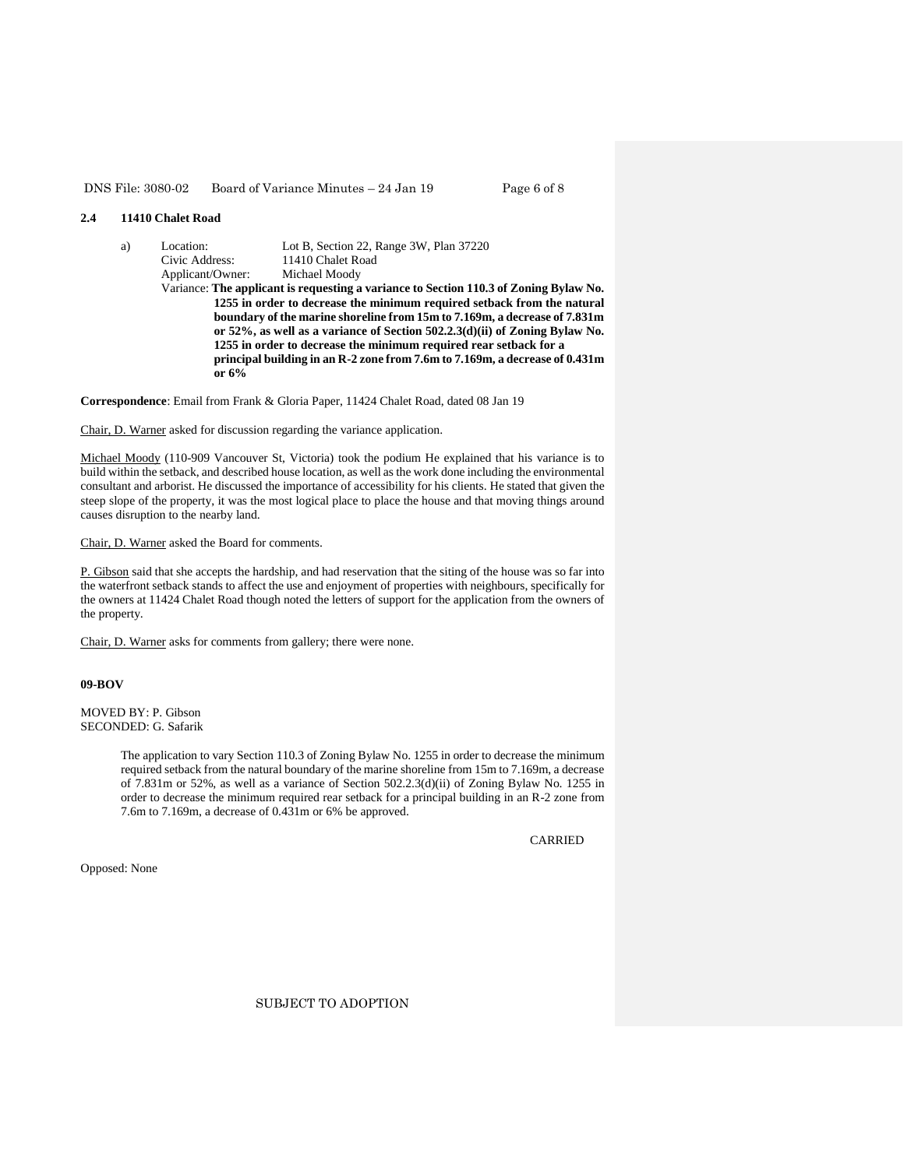#### DNS File: 3080-02 Board of Variance Minutes – 24 Jan 19 Page 6 of 8

# **2.4 11410 Chalet Road**

a) Location: Lot B, Section 22, Range 3W, Plan 37220 Civic Address: 11410 Chalet Road<br>Applicant/Owner: Michael Moody Applicant/Owner: Variance: **The applicant is requesting a variance to Section 110.3 of Zoning Bylaw No. 1255 in order to decrease the minimum required setback from the natural boundary of the marine shoreline from 15m to 7.169m, a decrease of 7.831m or 52%, as well as a variance of Section 502.2.3(d)(ii) of Zoning Bylaw No. 1255 in order to decrease the minimum required rear setback for a principal building in an R-2 zone from 7.6m to 7.169m, a decrease of 0.431m or 6%**

**Correspondence**: Email from Frank & Gloria Paper, 11424 Chalet Road, dated 08 Jan 19

# Chair, D. Warner asked for discussion regarding the variance application.

Michael Moody (110-909 Vancouver St, Victoria) took the podium He explained that his variance is to build within the setback, and described house location, as well as the work done including the environmental consultant and arborist. He discussed the importance of accessibility for his clients. He stated that given the steep slope of the property, it was the most logical place to place the house and that moving things around causes disruption to the nearby land.

Chair, D. Warner asked the Board for comments.

P. Gibson said that she accepts the hardship, and had reservation that the siting of the house was so far into the waterfront setback stands to affect the use and enjoyment of properties with neighbours, specifically for the owners at 11424 Chalet Road though noted the letters of support for the application from the owners of the property.

Chair, D. Warner asks for comments from gallery; there were none.

#### **09-BOV**

MOVED BY: P. Gibson SECONDED: G. Safarik

> The application to vary Section 110.3 of Zoning Bylaw No. 1255 in order to decrease the minimum required setback from the natural boundary of the marine shoreline from 15m to 7.169m, a decrease of 7.831m or 52%, as well as a variance of Section 502.2.3(d)(ii) of Zoning Bylaw No. 1255 in order to decrease the minimum required rear setback for a principal building in an R-2 zone from 7.6m to 7.169m, a decrease of 0.431m or 6% be approved.

> > CARRIED

Opposed: None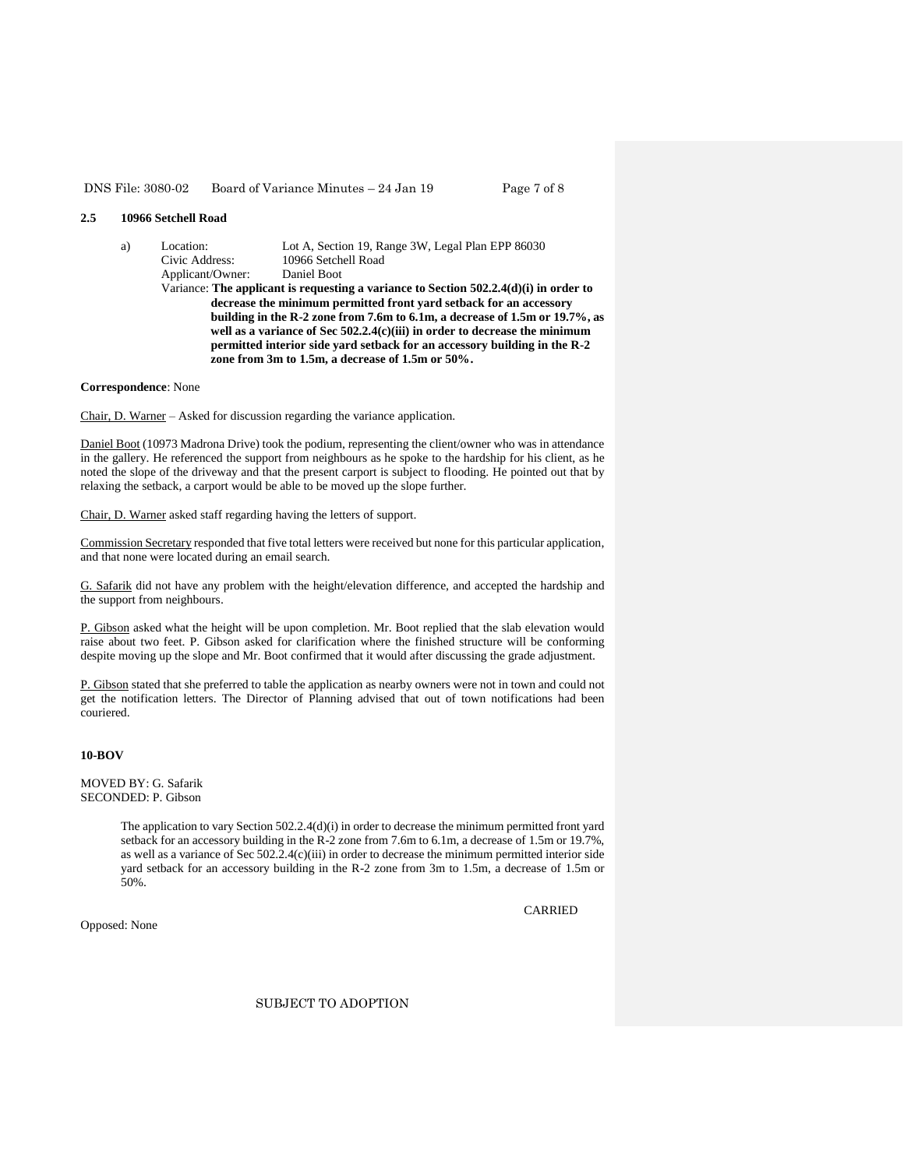#### DNS File: 3080-02 Board of Variance Minutes – 24 Jan 19 Page 7 of 8

### **2.5 10966 Setchell Road**

a) Location: Lot A, Section 19, Range 3W, Legal Plan EPP 86030 Civic Address: 10966 Setchell Road<br>Applicant/Owner: Daniel Boot Applicant/Owner: Variance: **The applicant is requesting a variance to Section 502.2.4(d)(i) in order to decrease the minimum permitted front yard setback for an accessory building in the R-2 zone from 7.6m to 6.1m, a decrease of 1.5m or 19.7%, as well as a variance of Sec 502.2.4(c)(iii) in order to decrease the minimum permitted interior side yard setback for an accessory building in the R-2 zone from 3m to 1.5m, a decrease of 1.5m or 50%.**

**Correspondence**: None

Chair, D. Warner – Asked for discussion regarding the variance application.

Daniel Boot (10973 Madrona Drive) took the podium, representing the client/owner who was in attendance in the gallery. He referenced the support from neighbours as he spoke to the hardship for his client, as he noted the slope of the driveway and that the present carport is subject to flooding. He pointed out that by relaxing the setback, a carport would be able to be moved up the slope further.

Chair, D. Warner asked staff regarding having the letters of support.

Commission Secretary responded that five total letters were received but none for this particular application, and that none were located during an email search.

G. Safarik did not have any problem with the height/elevation difference, and accepted the hardship and the support from neighbours.

P. Gibson asked what the height will be upon completion. Mr. Boot replied that the slab elevation would raise about two feet. P. Gibson asked for clarification where the finished structure will be conforming despite moving up the slope and Mr. Boot confirmed that it would after discussing the grade adjustment.

P. Gibson stated that she preferred to table the application as nearby owners were not in town and could not get the notification letters. The Director of Planning advised that out of town notifications had been couriered.

# **10-BOV**

MOVED BY: G. Safarik SECONDED: P. Gibson

> The application to vary Section 502.2.4(d)(i) in order to decrease the minimum permitted front yard setback for an accessory building in the R-2 zone from 7.6m to 6.1m, a decrease of 1.5m or 19.7%, as well as a variance of Sec 502.2.4(c)(iii) in order to decrease the minimum permitted interior side yard setback for an accessory building in the R-2 zone from 3m to 1.5m, a decrease of 1.5m or 50%.

> > CARRIED

Opposed: None